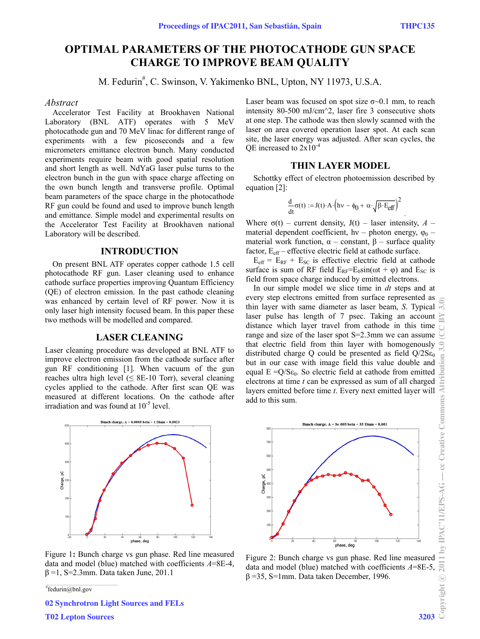.

# **OPTIMAL PARAMETERS OF THE PHOTOCATHODE GUN SPACE CHARGE TO IMPROVE BEAM QUALITY**

M. Fedurin<sup>#</sup>, C. Swinson, V. Yakimenko BNL, Upton, NY 11973, U.S.A.

#### *Abstract*

Accelerator Test Facility at Brookhaven National Laboratory (BNL ATF) operates with 5 MeV photocathode gun and 70 MeV linac for different range of experiments with a few picoseconds and a few micrometers emittance electron bunch. Many conducted experiments require beam with good spatial resolution and short length as well. NdYaG laser pulse turns to the electron bunch in the gun with space charge affecting on the own bunch length and transverse profile. Optimal beam parameters of the space charge in the photocathode RF gun could be found and used to improve bunch length and emittance. Simple model and experimental results on the Accelerator Test Facility at Brookhaven national Laboratory will be described.

### **INTRODUCTION**

On present BNL ATF operates copper cathode 1.5 cell photocathode RF gun. Laser cleaning used to enhance cathode surface properties improving Quantum Efficiency (QE) of electron emission. In the past cathode cleaning was enhanced by certain level of RF power. Now it is only laser high intensity focused beam. In this paper these two methods will be modelled and compared.

## **LASER CLEANING**

Laser cleaning procedure was developed at BNL ATF to improve electron emission from the cathode surface after gun RF conditioning [1]. When vacuum of the gun reaches ultra high level  $( \leq 8E-10$  Torr), several cleaning cycles applied to the cathode. After first scan QE was measured at different locations. On the cathode after irradiation and was found at 10-5 level.



Figure 1**:** Bunch charge vs gun phase. Red line measured data and model (blue) matched with coefficients *A*=8E-4, β =1, S=2.3mm. Data taken June, 201.1

# fedurin@bnl.gov

02 Synchrotron Light Sources and FELs

T02 Lepton Sources 3203

Laser beam was focused on spot size  $\sigma$  $\sim$ 0.1 mm, to reach intensity 80-500 mJ/cm^2, laser fire 3 consecutive shots at one step. The cathode was then slowly scanned with the laser on area covered operation laser spot. At each scan site, the laser energy was adjusted. After scan cycles, the OE increased to  $2x10^{-4}$ 

# **THIN LAYER MODEL**

Schottky effect of electron photoemission described by equation [2]:

$$
\frac{d}{dt}\sigma(t) := J(t) \cdot A \cdot \left(hv - \phi_0 + \alpha \cdot \sqrt{\beta \cdot E_{\text{eff}}}\right)^2
$$

Where  $\sigma(t)$  – current density,  $J(t)$  – laser intensity,  $A$  – material dependent coefficient, hv – photon energy,  $\varphi_0$  – material work function,  $\alpha$  – constant, β – surface quality factor,  $E_{\text{eff}}$  – effective electric field at cathode surface.

 $E_{\text{eff}}$  =  $E_{RF}$  +  $E_{SC}$  is effective electric field at cathode surface is sum of RF field  $E_{RF} = E_0 \sin(\omega t + \varphi)$  and  $E_{SC}$  is field from space charge induced by emitted electrons.

In our simple model we slice time in *dt* steps and at every step electrons emitted from surface represented as thin layer with same diameter as laser beam, *S*. Typical  $\approx$ laser pulse has length of 7 psec. Taking an account distance which layer travel from cathode in this time range and size of the laser spot S=2.3mm we can assume that electric field from thin layer with homogenously distributed charge Q could be presented as field  $O/2S\epsilon_0$ but in our case with image field this value double and equal  $E = Q/S \epsilon_0$ . So electric field at cathode from emitted electrons at time *t* can be expressed as sum of all charged layers emitted before time *t*. Every next emitted layer will add to this sum.



Figure 2: Bunch charge vs gun phase. Red line measured data and model (blue) matched with coefficients *A*=8E-5, β =35, S=1mm. Data taken December, 1996.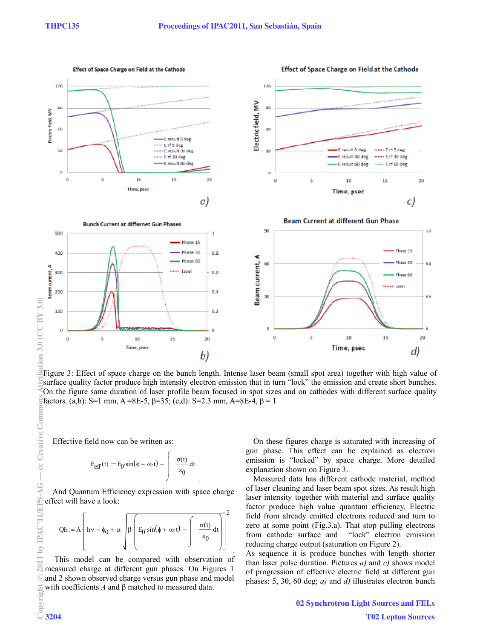Effect of Space Charge on Field at the Cathode



Figure 3: Effect of space charge on the bunch length. Intense laser beam (small spot area) together with high value of surface quality factor produce high intensity electron emission that in turn "lock" the emission and create short bunches. On the figure same duration of laser profile beam focused in spot sizes and on cathodes with different surface quality factors. (a,b): S=1 mm, A =8E-5, β=35; (c,d): S=2.3 mm, A=8E-4, β = 1

Effective field now can be written as:

$$
E_{\text{eff}}(t) := E_0 \sin(\phi + \omega \cdot t) - \int \frac{\sigma(t)}{\varepsilon_0} dt
$$

.

And Quantum Efficiency expression with space charge effect will have a look:

$$
QE := A \left[ h v - \phi_0 + \alpha \cdot \left[ \beta \cdot \left( E_0 \sin(\phi + \omega \cdot t) - \int \frac{\sigma(t)}{\epsilon_0} dt \right) \right] \right]^2
$$

 This model can be compared with observation of measured charge at different gun phases. On Figures 1 ⊙and 2 shown observed charge versus gun phase and model with coefficients *A* and β matched to measured data.

On these figures charge is saturated with increasing of gun phase. This effect can be explained as electron emission is "locked" by space charge. More detailed explanation shown on Figure 3.

Measured data has different cathode material, method of laser cleaning and laser beam spot sizes. As result high laser intensity together with material and surface quality factor produce high value quantum efficiency. Electric field from already emitted electrons reduced and turn to zero at some point (Fig.3,a). That stop pulling electrons from cathode surface and "lock" electron emission reducing charge output (saturation on Figure 2).

As sequence it is produce bunches with length shorter than laser pulse duration. Pictures *a)* and *c)* shows model of progression of effective electric field at different gun phases: 5, 30, 60 deg; *a)* and *d)* illustrates electron bunch